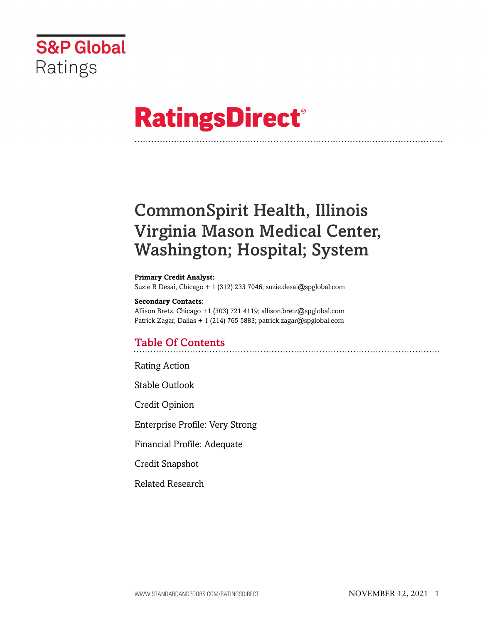

# **RatingsDirect®**

# CommonSpirit Health, Illinois Virginia Mason Medical Center, Washington; Hospital; System

#### **Primary Credit Analyst:**

Suzie R Desai, Chicago + 1 (312) 233 7046; suzie.desai@spglobal.com

#### **Secondary Contacts:**

Allison Bretz, Chicago +1 (303) 721 4119; allison.bretz@spglobal.com Patrick Zagar, Dallas + 1 (214) 765 5883; patrick.zagar@spglobal.com

# Table Of Contents

Rating Action

Stable Outlook

Credit Opinion

Enterprise Profile: Very Strong

Financial Profile: Adequate

Credit Snapshot

Related Research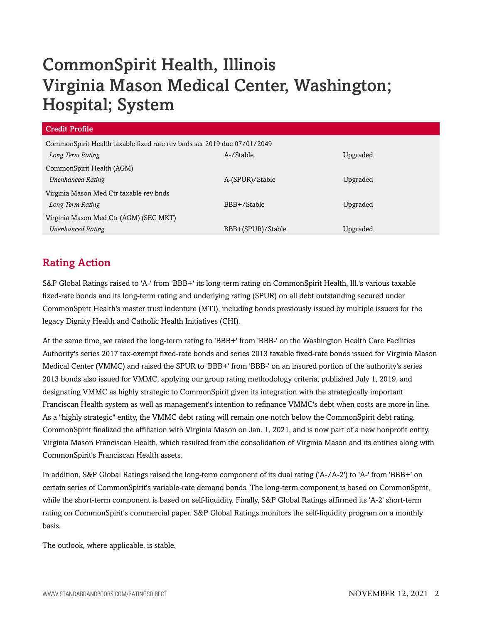# CommonSpirit Health, Illinois Virginia Mason Medical Center, Washington; Hospital; System

| <b>Credit Profile</b>                                                   |                   |          |  |
|-------------------------------------------------------------------------|-------------------|----------|--|
| CommonSpirit Health taxable fixed rate rev bnds ser 2019 due 07/01/2049 |                   |          |  |
| Long Term Rating                                                        | A-/Stable         | Upgraded |  |
| CommonSpirit Health (AGM)                                               |                   |          |  |
| <b>Unenhanced Rating</b>                                                | A-(SPUR)/Stable   | Upgraded |  |
| Virginia Mason Med Ctr taxable rev bnds                                 |                   |          |  |
| Long Term Rating                                                        | BBB+/Stable       | Upgraded |  |
| Virginia Mason Med Ctr (AGM) (SEC MKT)                                  |                   |          |  |
| <b>Unenhanced Rating</b>                                                | BBB+(SPUR)/Stable | Upgraded |  |

# Rating Action

S&P Global Ratings raised to 'A-' from 'BBB+' its long-term rating on CommonSpirit Health, Ill.'s various taxable fixed-rate bonds and its long-term rating and underlying rating (SPUR) on all debt outstanding secured under CommonSpirit Health's master trust indenture (MTI), including bonds previously issued by multiple issuers for the legacy Dignity Health and Catholic Health Initiatives (CHI).

At the same time, we raised the long-term rating to 'BBB+' from 'BBB-' on the Washington Health Care Facilities Authority's series 2017 tax-exempt fixed-rate bonds and series 2013 taxable fixed-rate bonds issued for Virginia Mason Medical Center (VMMC) and raised the SPUR to 'BBB+' from 'BBB-' on an insured portion of the authority's series 2013 bonds also issued for VMMC, applying our group rating methodology criteria, published July 1, 2019, and designating VMMC as highly strategic to CommonSpirit given its integration with the strategically important Franciscan Health system as well as management's intention to refinance VMMC's debt when costs are more in line. As a "highly strategic" entity, the VMMC debt rating will remain one notch below the CommonSpirit debt rating. CommonSpirit finalized the affiliation with Virginia Mason on Jan. 1, 2021, and is now part of a new nonprofit entity, Virginia Mason Franciscan Health, which resulted from the consolidation of Virginia Mason and its entities along with CommonSpirit's Franciscan Health assets.

In addition, S&P Global Ratings raised the long-term component of its dual rating ('A-/A-2') to 'A-' from 'BBB+' on certain series of CommonSpirit's variable-rate demand bonds. The long-term component is based on CommonSpirit, while the short-term component is based on self-liquidity. Finally, S&P Global Ratings affirmed its 'A-2' short-term rating on CommonSpirit's commercial paper. S&P Global Ratings monitors the self-liquidity program on a monthly basis.

The outlook, where applicable, is stable.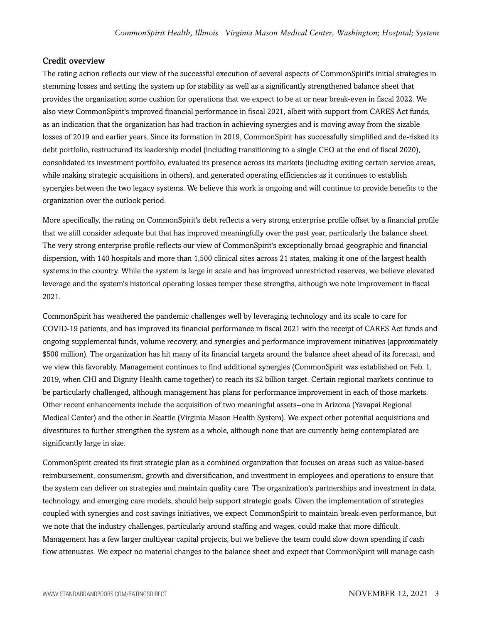#### Credit overview

The rating action reflects our view of the successful execution of several aspects of CommonSpirit's initial strategies in stemming losses and setting the system up for stability as well as a significantly strengthened balance sheet that provides the organization some cushion for operations that we expect to be at or near break-even in fiscal 2022. We also view CommonSpirit's improved financial performance in fiscal 2021, albeit with support from CARES Act funds, as an indication that the organization has had traction in achieving synergies and is moving away from the sizable losses of 2019 and earlier years. Since its formation in 2019, CommonSpirit has successfully simplified and de-risked its debt portfolio, restructured its leadership model (including transitioning to a single CEO at the end of fiscal 2020), consolidated its investment portfolio, evaluated its presence across its markets (including exiting certain service areas, while making strategic acquisitions in others), and generated operating efficiencies as it continues to establish synergies between the two legacy systems. We believe this work is ongoing and will continue to provide benefits to the organization over the outlook period.

More specifically, the rating on CommonSpirit's debt reflects a very strong enterprise profile offset by a financial profile that we still consider adequate but that has improved meaningfully over the past year, particularly the balance sheet. The very strong enterprise profile reflects our view of CommonSpirit's exceptionally broad geographic and financial dispersion, with 140 hospitals and more than 1,500 clinical sites across 21 states, making it one of the largest health systems in the country. While the system is large in scale and has improved unrestricted reserves, we believe elevated leverage and the system's historical operating losses temper these strengths, although we note improvement in fiscal 2021.

CommonSpirit has weathered the pandemic challenges well by leveraging technology and its scale to care for COVID-19 patients, and has improved its financial performance in fiscal 2021 with the receipt of CARES Act funds and ongoing supplemental funds, volume recovery, and synergies and performance improvement initiatives (approximately \$500 million). The organization has hit many of its financial targets around the balance sheet ahead of its forecast, and we view this favorably. Management continues to find additional synergies (CommonSpirit was established on Feb. 1, 2019, when CHI and Dignity Health came together) to reach its \$2 billion target. Certain regional markets continue to be particularly challenged, although management has plans for performance improvement in each of those markets. Other recent enhancements include the acquisition of two meaningful assets--one in Arizona (Yavapai Regional Medical Center) and the other in Seattle (Virginia Mason Health System). We expect other potential acquisitions and divestitures to further strengthen the system as a whole, although none that are currently being contemplated are significantly large in size.

CommonSpirit created its first strategic plan as a combined organization that focuses on areas such as value-based reimbursement, consumerism, growth and diversification, and investment in employees and operations to ensure that the system can deliver on strategies and maintain quality care. The organization's partnerships and investment in data, technology, and emerging care models, should help support strategic goals. Given the implementation of strategies coupled with synergies and cost savings initiatives, we expect CommonSpirit to maintain break-even performance, but we note that the industry challenges, particularly around staffing and wages, could make that more difficult. Management has a few larger multiyear capital projects, but we believe the team could slow down spending if cash flow attenuates. We expect no material changes to the balance sheet and expect that CommonSpirit will manage cash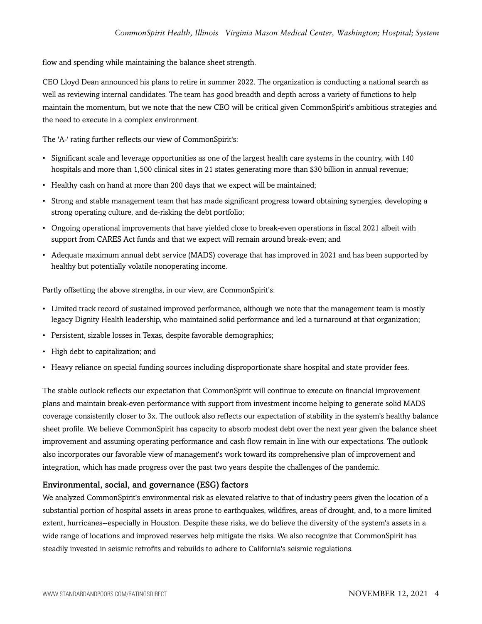flow and spending while maintaining the balance sheet strength.

CEO Lloyd Dean announced his plans to retire in summer 2022. The organization is conducting a national search as well as reviewing internal candidates. The team has good breadth and depth across a variety of functions to help maintain the momentum, but we note that the new CEO will be critical given CommonSpirit's ambitious strategies and the need to execute in a complex environment.

The 'A-' rating further reflects our view of CommonSpirit's:

- Significant scale and leverage opportunities as one of the largest health care systems in the country, with 140 hospitals and more than 1,500 clinical sites in 21 states generating more than \$30 billion in annual revenue;
- Healthy cash on hand at more than 200 days that we expect will be maintained;
- Strong and stable management team that has made significant progress toward obtaining synergies, developing a strong operating culture, and de-risking the debt portfolio;
- Ongoing operational improvements that have yielded close to break-even operations in fiscal 2021 albeit with support from CARES Act funds and that we expect will remain around break-even; and
- Adequate maximum annual debt service (MADS) coverage that has improved in 2021 and has been supported by healthy but potentially volatile nonoperating income.

Partly offsetting the above strengths, in our view, are CommonSpirit's:

- Limited track record of sustained improved performance, although we note that the management team is mostly legacy Dignity Health leadership, who maintained solid performance and led a turnaround at that organization;
- Persistent, sizable losses in Texas, despite favorable demographics;
- High debt to capitalization; and
- Heavy reliance on special funding sources including disproportionate share hospital and state provider fees.

The stable outlook reflects our expectation that CommonSpirit will continue to execute on financial improvement plans and maintain break-even performance with support from investment income helping to generate solid MADS coverage consistently closer to 3x. The outlook also reflects our expectation of stability in the system's healthy balance sheet profile. We believe CommonSpirit has capacity to absorb modest debt over the next year given the balance sheet improvement and assuming operating performance and cash flow remain in line with our expectations. The outlook also incorporates our favorable view of management's work toward its comprehensive plan of improvement and integration, which has made progress over the past two years despite the challenges of the pandemic.

#### Environmental, social, and governance (ESG) factors

We analyzed CommonSpirit's environmental risk as elevated relative to that of industry peers given the location of a substantial portion of hospital assets in areas prone to earthquakes, wildfires, areas of drought, and, to a more limited extent, hurricanes--especially in Houston. Despite these risks, we do believe the diversity of the system's assets in a wide range of locations and improved reserves help mitigate the risks. We also recognize that CommonSpirit has steadily invested in seismic retrofits and rebuilds to adhere to California's seismic regulations.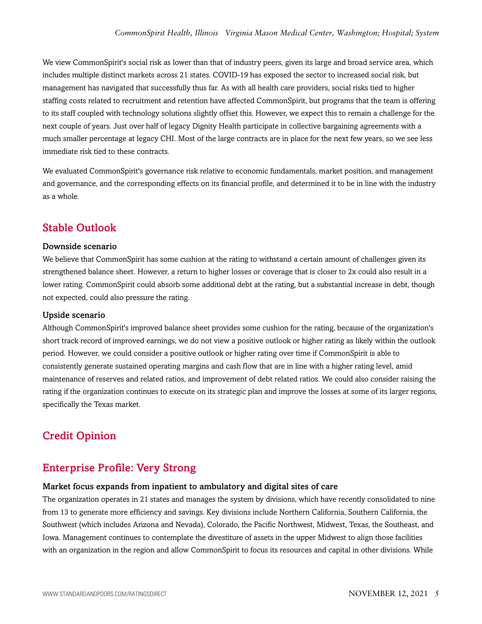We view CommonSpirit's social risk as lower than that of industry peers, given its large and broad service area, which includes multiple distinct markets across 21 states. COVID-19 has exposed the sector to increased social risk, but management has navigated that successfully thus far. As with all health care providers, social risks tied to higher staffing costs related to recruitment and retention have affected CommonSpirit, but programs that the team is offering to its staff coupled with technology solutions slightly offset this. However, we expect this to remain a challenge for the next couple of years. Just over half of legacy Dignity Health participate in collective bargaining agreements with a much smaller percentage at legacy CHI. Most of the large contracts are in place for the next few years, so we see less immediate risk tied to these contracts.

We evaluated CommonSpirit's governance risk relative to economic fundamentals, market position, and management and governance, and the corresponding effects on its financial profile, and determined it to be in line with the industry as a whole.

## Stable Outlook

#### Downside scenario

We believe that CommonSpirit has some cushion at the rating to withstand a certain amount of challenges given its strengthened balance sheet. However, a return to higher losses or coverage that is closer to 2x could also result in a lower rating. CommonSpirit could absorb some additional debt at the rating, but a substantial increase in debt, though not expected, could also pressure the rating.

#### Upside scenario

Although CommonSpirit's improved balance sheet provides some cushion for the rating, because of the organization's short track record of improved earnings, we do not view a positive outlook or higher rating as likely within the outlook period. However, we could consider a positive outlook or higher rating over time if CommonSpirit is able to consistently generate sustained operating margins and cash flow that are in line with a higher rating level, amid maintenance of reserves and related ratios, and improvement of debt related ratios. We could also consider raising the rating if the organization continues to execute on its strategic plan and improve the losses at some of its larger regions, specifically the Texas market.

# Credit Opinion

### Enterprise Profile: Very Strong

#### Market focus expands from inpatient to ambulatory and digital sites of care

The organization operates in 21 states and manages the system by divisions, which have recently consolidated to nine from 13 to generate more efficiency and savings. Key divisions include Northern California, Southern California, the Southwest (which includes Arizona and Nevada), Colorado, the Pacific Northwest, Midwest, Texas, the Southeast, and Iowa. Management continues to contemplate the divestiture of assets in the upper Midwest to align those facilities with an organization in the region and allow CommonSpirit to focus its resources and capital in other divisions. While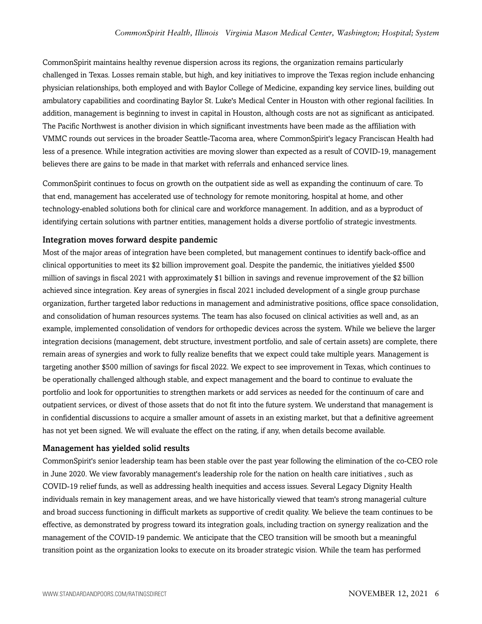CommonSpirit maintains healthy revenue dispersion across its regions, the organization remains particularly challenged in Texas. Losses remain stable, but high, and key initiatives to improve the Texas region include enhancing physician relationships, both employed and with Baylor College of Medicine, expanding key service lines, building out ambulatory capabilities and coordinating Baylor St. Luke's Medical Center in Houston with other regional facilities. In addition, management is beginning to invest in capital in Houston, although costs are not as significant as anticipated. The Pacific Northwest is another division in which significant investments have been made as the affiliation with VMMC rounds out services in the broader Seattle-Tacoma area, where CommonSpirit's legacy Franciscan Health had less of a presence. While integration activities are moving slower than expected as a result of COVID-19, management believes there are gains to be made in that market with referrals and enhanced service lines.

CommonSpirit continues to focus on growth on the outpatient side as well as expanding the continuum of care. To that end, management has accelerated use of technology for remote monitoring, hospital at home, and other technology-enabled solutions both for clinical care and workforce management. In addition, and as a byproduct of identifying certain solutions with partner entities, management holds a diverse portfolio of strategic investments.

#### Integration moves forward despite pandemic

Most of the major areas of integration have been completed, but management continues to identify back-office and clinical opportunities to meet its \$2 billion improvement goal. Despite the pandemic, the initiatives yielded \$500 million of savings in fiscal 2021 with approximately \$1 billion in savings and revenue improvement of the \$2 billion achieved since integration. Key areas of synergies in fiscal 2021 included development of a single group purchase organization, further targeted labor reductions in management and administrative positions, office space consolidation, and consolidation of human resources systems. The team has also focused on clinical activities as well and, as an example, implemented consolidation of vendors for orthopedic devices across the system. While we believe the larger integration decisions (management, debt structure, investment portfolio, and sale of certain assets) are complete, there remain areas of synergies and work to fully realize benefits that we expect could take multiple years. Management is targeting another \$500 million of savings for fiscal 2022. We expect to see improvement in Texas, which continues to be operationally challenged although stable, and expect management and the board to continue to evaluate the portfolio and look for opportunities to strengthen markets or add services as needed for the continuum of care and outpatient services, or divest of those assets that do not fit into the future system. We understand that management is in confidential discussions to acquire a smaller amount of assets in an existing market, but that a definitive agreement has not yet been signed. We will evaluate the effect on the rating, if any, when details become available.

#### Management has yielded solid results

CommonSpirit's senior leadership team has been stable over the past year following the elimination of the co-CEO role in June 2020. We view favorably management's leadership role for the nation on health care initiatives , such as COVID-19 relief funds, as well as addressing health inequities and access issues. Several Legacy Dignity Health individuals remain in key management areas, and we have historically viewed that team's strong managerial culture and broad success functioning in difficult markets as supportive of credit quality. We believe the team continues to be effective, as demonstrated by progress toward its integration goals, including traction on synergy realization and the management of the COVID-19 pandemic. We anticipate that the CEO transition will be smooth but a meaningful transition point as the organization looks to execute on its broader strategic vision. While the team has performed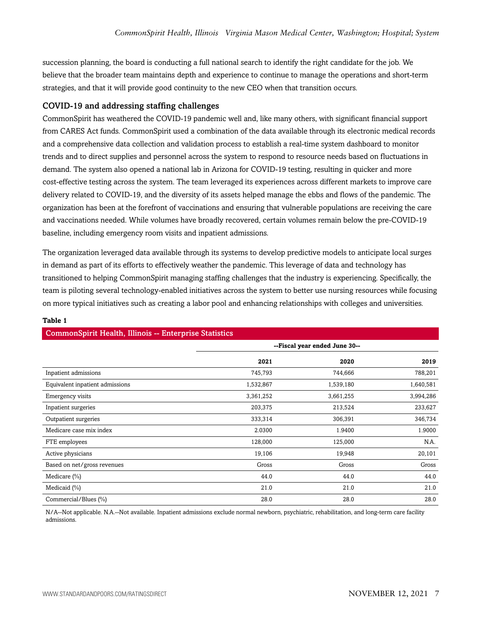succession planning, the board is conducting a full national search to identify the right candidate for the job. We believe that the broader team maintains depth and experience to continue to manage the operations and short-term strategies, and that it will provide good continuity to the new CEO when that transition occurs.

#### COVID-19 and addressing staffing challenges

CommonSpirit has weathered the COVID-19 pandemic well and, like many others, with significant financial support from CARES Act funds. CommonSpirit used a combination of the data available through its electronic medical records and a comprehensive data collection and validation process to establish a real-time system dashboard to monitor trends and to direct supplies and personnel across the system to respond to resource needs based on fluctuations in demand. The system also opened a national lab in Arizona for COVID-19 testing, resulting in quicker and more cost-effective testing across the system. The team leveraged its experiences across different markets to improve care delivery related to COVID-19, and the diversity of its assets helped manage the ebbs and flows of the pandemic. The organization has been at the forefront of vaccinations and ensuring that vulnerable populations are receiving the care and vaccinations needed. While volumes have broadly recovered, certain volumes remain below the pre-COVID-19 baseline, including emergency room visits and inpatient admissions.

The organization leveraged data available through its systems to develop predictive models to anticipate local surges in demand as part of its efforts to effectively weather the pandemic. This leverage of data and technology has transitioned to helping CommonSpirit managing staffing challenges that the industry is experiencing. Specifically, the team is piloting several technology-enabled initiatives across the system to better use nursing resources while focusing on more typical initiatives such as creating a labor pool and enhancing relationships with colleges and universities.

#### **Table 1**

|                                 | --Fiscal year ended June 30-- |           |           |
|---------------------------------|-------------------------------|-----------|-----------|
|                                 | 2021                          | 2020      | 2019      |
| Inpatient admissions            | 745,793                       | 744,666   | 788,201   |
| Equivalent inpatient admissions | 1,532,867                     | 1,539,180 | 1,640,581 |
| Emergency visits                | 3,361,252                     | 3,661,255 | 3,994,286 |
| Inpatient surgeries             | 203,375                       | 213,524   | 233,627   |
| Outpatient surgeries            | 333,314                       | 306,391   | 346,734   |
| Medicare case mix index         | 2.0300                        | 1.9400    | 1.9000    |
| FTE employees                   | 128,000                       | 125,000   | N.A.      |
| Active physicians               | 19,106                        | 19,948    | 20,101    |
| Based on net/gross revenues     | Gross                         | Gross     | Gross     |
| Medicare $(\% )$                | 44.0                          | 44.0      | 44.0      |
| Medicaid $(\% )$                | 21.0                          | 21.0      | 21.0      |
| Commercial/Blues (%)            | 28.0                          | 28.0      | 28.0      |

#### CommonSpirit Health, Illinois -- Enterprise Statistics

N/A--Not applicable. N.A.--Not available. Inpatient admissions exclude normal newborn, psychiatric, rehabilitation, and long-term care facility admissions.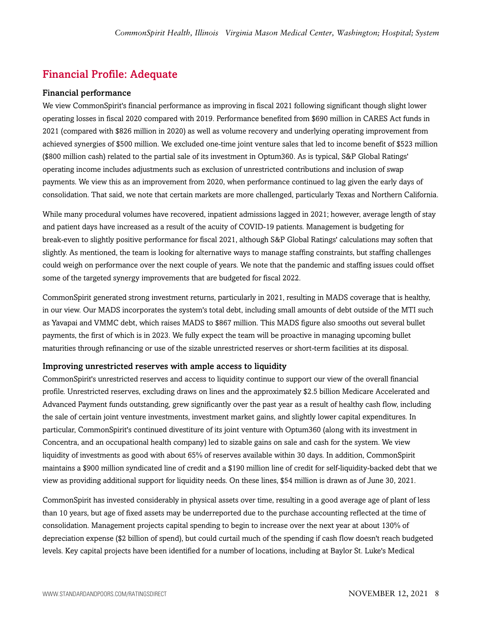# Financial Profile: Adequate

#### Financial performance

We view CommonSpirit's financial performance as improving in fiscal 2021 following significant though slight lower operating losses in fiscal 2020 compared with 2019. Performance benefited from \$690 million in CARES Act funds in 2021 (compared with \$826 million in 2020) as well as volume recovery and underlying operating improvement from achieved synergies of \$500 million. We excluded one-time joint venture sales that led to income benefit of \$523 million (\$800 million cash) related to the partial sale of its investment in Optum360. As is typical, S&P Global Ratings' operating income includes adjustments such as exclusion of unrestricted contributions and inclusion of swap payments. We view this as an improvement from 2020, when performance continued to lag given the early days of consolidation. That said, we note that certain markets are more challenged, particularly Texas and Northern California.

While many procedural volumes have recovered, inpatient admissions lagged in 2021; however, average length of stay and patient days have increased as a result of the acuity of COVID-19 patients. Management is budgeting for break-even to slightly positive performance for fiscal 2021, although S&P Global Ratings' calculations may soften that slightly. As mentioned, the team is looking for alternative ways to manage staffing constraints, but staffing challenges could weigh on performance over the next couple of years. We note that the pandemic and staffing issues could offset some of the targeted synergy improvements that are budgeted for fiscal 2022.

CommonSpirit generated strong investment returns, particularly in 2021, resulting in MADS coverage that is healthy, in our view. Our MADS incorporates the system's total debt, including small amounts of debt outside of the MTI such as Yavapai and VMMC debt, which raises MADS to \$867 million. This MADS figure also smooths out several bullet payments, the first of which is in 2023. We fully expect the team will be proactive in managing upcoming bullet maturities through refinancing or use of the sizable unrestricted reserves or short-term facilities at its disposal.

#### Improving unrestricted reserves with ample access to liquidity

CommonSpirit's unrestricted reserves and access to liquidity continue to support our view of the overall financial profile. Unrestricted reserves, excluding draws on lines and the approximately \$2.5 billion Medicare Accelerated and Advanced Payment funds outstanding, grew significantly over the past year as a result of healthy cash flow, including the sale of certain joint venture investments, investment market gains, and slightly lower capital expenditures. In particular, CommonSpirit's continued divestiture of its joint venture with Optum360 (along with its investment in Concentra, and an occupational health company) led to sizable gains on sale and cash for the system. We view liquidity of investments as good with about 65% of reserves available within 30 days. In addition, CommonSpirit maintains a \$900 million syndicated line of credit and a \$190 million line of credit for self-liquidity-backed debt that we view as providing additional support for liquidity needs. On these lines, \$54 million is drawn as of June 30, 2021.

CommonSpirit has invested considerably in physical assets over time, resulting in a good average age of plant of less than 10 years, but age of fixed assets may be underreported due to the purchase accounting reflected at the time of consolidation. Management projects capital spending to begin to increase over the next year at about 130% of depreciation expense (\$2 billion of spend), but could curtail much of the spending if cash flow doesn't reach budgeted levels. Key capital projects have been identified for a number of locations, including at Baylor St. Luke's Medical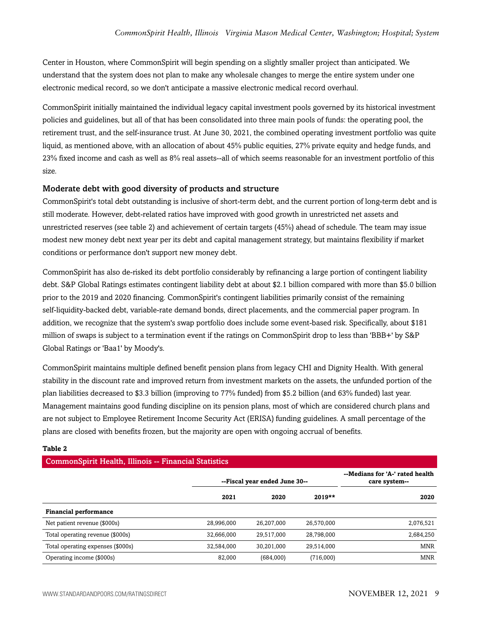Center in Houston, where CommonSpirit will begin spending on a slightly smaller project than anticipated. We understand that the system does not plan to make any wholesale changes to merge the entire system under one electronic medical record, so we don't anticipate a massive electronic medical record overhaul.

CommonSpirit initially maintained the individual legacy capital investment pools governed by its historical investment policies and guidelines, but all of that has been consolidated into three main pools of funds: the operating pool, the retirement trust, and the self-insurance trust. At June 30, 2021, the combined operating investment portfolio was quite liquid, as mentioned above, with an allocation of about 45% public equities, 27% private equity and hedge funds, and 23% fixed income and cash as well as 8% real assets--all of which seems reasonable for an investment portfolio of this size.

#### Moderate debt with good diversity of products and structure

CommonSpirit's total debt outstanding is inclusive of short-term debt, and the current portion of long-term debt and is still moderate. However, debt-related ratios have improved with good growth in unrestricted net assets and unrestricted reserves (see table 2) and achievement of certain targets (45%) ahead of schedule. The team may issue modest new money debt next year per its debt and capital management strategy, but maintains flexibility if market conditions or performance don't support new money debt.

CommonSpirit has also de-risked its debt portfolio considerably by refinancing a large portion of contingent liability debt. S&P Global Ratings estimates contingent liability debt at about \$2.1 billion compared with more than \$5.0 billion prior to the 2019 and 2020 financing. CommonSpirit's contingent liabilities primarily consist of the remaining self-liquidity-backed debt, variable-rate demand bonds, direct placements, and the commercial paper program. In addition, we recognize that the system's swap portfolio does include some event-based risk. Specifically, about \$181 million of swaps is subject to a termination event if the ratings on CommonSpirit drop to less than 'BBB+' by S&P Global Ratings or 'Baa1' by Moody's.

CommonSpirit maintains multiple defined benefit pension plans from legacy CHI and Dignity Health. With general stability in the discount rate and improved return from investment markets on the assets, the unfunded portion of the plan liabilities decreased to \$3.3 billion (improving to 77% funded) from \$5.2 billion (and 63% funded) last year. Management maintains good funding discipline on its pension plans, most of which are considered church plans and are not subject to Employee Retirement Income Security Act (ERISA) funding guidelines. A small percentage of the plans are closed with benefits frozen, but the majority are open with ongoing accrual of benefits.

#### **Table 2**

## CommonSpirit Health, Illinois -- Financial Statistics

|                                   | --Fiscal year ended June 30-- |            |            | --Medians for 'A-' rated health<br>care system-- |
|-----------------------------------|-------------------------------|------------|------------|--------------------------------------------------|
|                                   | 2021                          | 2020       | $2019**$   | 2020                                             |
| <b>Financial performance</b>      |                               |            |            |                                                  |
| Net patient revenue (\$000s)      | 28,996,000                    | 26,207,000 | 26,570,000 | 2,076,521                                        |
| Total operating revenue (\$000s)  | 32,666,000                    | 29.517.000 | 28,798,000 | 2,684,250                                        |
| Total operating expenses (\$000s) | 32,584,000                    | 30.201.000 | 29,514,000 | <b>MNR</b>                                       |
| Operating income (\$000s)         | 82.000                        | (684,000)  | (716,000)  | <b>MNR</b>                                       |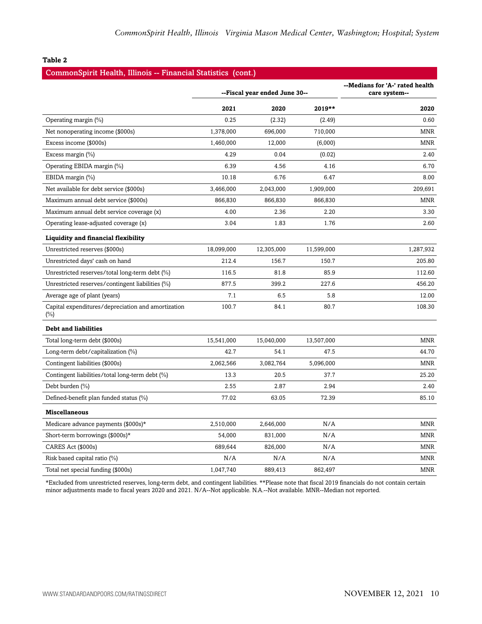#### **Table 2**

|  | CommonSpirit Health, Illinois -- Financial Statistics (cont.) |  |  |
|--|---------------------------------------------------------------|--|--|
|  |                                                               |  |  |

|                                                              | --Fiscal year ended June 30-- |            |            | --Medians for 'A-' rated health<br>care system-- |
|--------------------------------------------------------------|-------------------------------|------------|------------|--------------------------------------------------|
|                                                              | 2021                          | 2020       | 2019**     | 2020                                             |
| Operating margin (%)                                         | 0.25                          | (2.32)     | (2.49)     | 0.60                                             |
| Net nonoperating income (\$000s)                             | 1,378,000                     | 696,000    | 710,000    | <b>MNR</b>                                       |
| Excess income (\$000s)                                       | 1,460,000                     | 12,000     | (6,000)    | <b>MNR</b>                                       |
| Excess margin (%)                                            | 4.29                          | 0.04       | (0.02)     | 2.40                                             |
| Operating EBIDA margin (%)                                   | 6.39                          | 4.56       | 4.16       | 6.70                                             |
| EBIDA margin (%)                                             | 10.18                         | 6.76       | 6.47       | 8.00                                             |
| Net available for debt service (\$000s)                      | 3,466,000                     | 2,043,000  | 1,909,000  | 209,691                                          |
| Maximum annual debt service (\$000s)                         | 866,830                       | 866,830    | 866,830    | <b>MNR</b>                                       |
| Maximum annual debt service coverage (x)                     | 4.00                          | 2.36       | 2.20       | 3.30                                             |
| Operating lease-adjusted coverage (x)                        | 3.04                          | 1.83       | 1.76       | 2.60                                             |
| Liquidity and financial flexibility                          |                               |            |            |                                                  |
| Unrestricted reserves (\$000s)                               | 18,099,000                    | 12,305,000 | 11,599,000 | 1,287,932                                        |
| Unrestricted days' cash on hand                              | 212.4                         | 156.7      | 150.7      | 205.80                                           |
| Unrestricted reserves/total long-term debt (%)               | 116.5                         | 81.8       | 85.9       | 112.60                                           |
| Unrestricted reserves/contingent liabilities (%)             | 877.5                         | 399.2      | 227.6      | 456.20                                           |
| Average age of plant (years)                                 | 7.1                           | 6.5        | 5.8        | 12.00                                            |
| Capital expenditures/depreciation and amortization<br>$(\%)$ | 100.7                         | 84.1       | 80.7       | 108.30                                           |
| <b>Debt and liabilities</b>                                  |                               |            |            |                                                  |
| Total long-term debt (\$000s)                                | 15,541,000                    | 15,040,000 | 13,507,000 | <b>MNR</b>                                       |
| Long-term debt/capitalization (%)                            | 42.7                          | 54.1       | 47.5       | 44.70                                            |
| Contingent liabilities (\$000s)                              | 2,062,566                     | 3,082,764  | 5,096,000  | <b>MNR</b>                                       |
| Contingent liabilities/total long-term debt (%)              | 13.3                          | 20.5       | 37.7       | 25.20                                            |
| Debt burden $(\% )$                                          | 2.55                          | 2.87       | 2.94       | 2.40                                             |
| Defined-benefit plan funded status (%)                       | 77.02                         | 63.05      | 72.39      | 85.10                                            |
| <b>Miscellaneous</b>                                         |                               |            |            |                                                  |
| Medicare advance payments (\$000s)*                          | 2,510,000                     | 2,646,000  | N/A        | <b>MNR</b>                                       |
| Short-term borrowings (\$000s)*                              | 54,000                        | 831,000    | N/A        | <b>MNR</b>                                       |
| CARES Act (\$000s)                                           | 689,644                       | 826,000    | N/A        | <b>MNR</b>                                       |
| Risk based capital ratio (%)                                 | N/A                           | N/A        | N/A        | <b>MNR</b>                                       |
| Total net special funding (\$000s)                           | 1,047,740                     | 889,413    | 862,497    | <b>MNR</b>                                       |

\*Excluded from unrestricted reserves, long-term debt, and contingent liabilities. \*\*Please note that fiscal 2019 financials do not contain certain minor adjustments made to fiscal years 2020 and 2021. N/A--Not applicable. N.A.--Not available. MNR--Median not reported.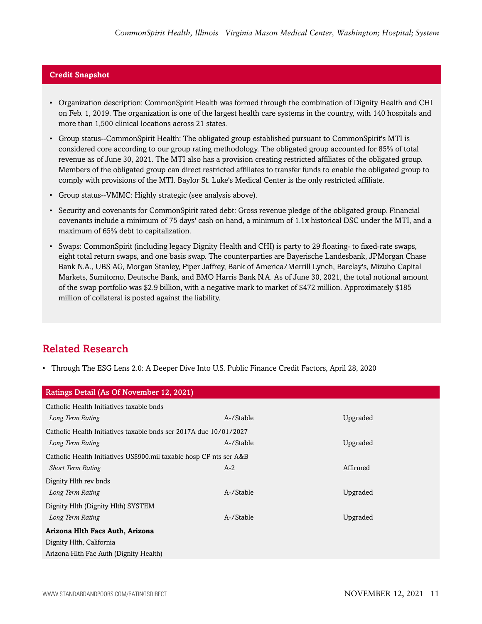#### **Credit Snapshot**

- Organization description: CommonSpirit Health was formed through the combination of Dignity Health and CHI on Feb. 1, 2019. The organization is one of the largest health care systems in the country, with 140 hospitals and more than 1,500 clinical locations across 21 states.
- Group status--CommonSpirit Health: The obligated group established pursuant to CommonSpirit's MTI is considered core according to our group rating methodology. The obligated group accounted for 85% of total revenue as of June 30, 2021. The MTI also has a provision creating restricted affiliates of the obligated group. Members of the obligated group can direct restricted affiliates to transfer funds to enable the obligated group to comply with provisions of the MTI. Baylor St. Luke's Medical Center is the only restricted affiliate.
- Group status--VMMC: Highly strategic (see analysis above).
- Security and covenants for CommonSpirit rated debt: Gross revenue pledge of the obligated group. Financial covenants include a minimum of 75 days' cash on hand, a minimum of 1.1x historical DSC under the MTI, and a maximum of 65% debt to capitalization.
- Swaps: CommonSpirit (including legacy Dignity Health and CHI) is party to 29 floating- to fixed-rate swaps, eight total return swaps, and one basis swap. The counterparties are Bayerische Landesbank, JPMorgan Chase Bank N.A., UBS AG, Morgan Stanley, Piper Jaffrey, Bank of America/Merrill Lynch, Barclay's, Mizuho Capital Markets, Sumitomo, Deutsche Bank, and BMO Harris Bank N.A. As of June 30, 2021, the total notional amount of the swap portfolio was \$2.9 billion, with a negative mark to market of \$472 million. Approximately \$185 million of collateral is posted against the liability.

# Related Research

• Through The ESG Lens 2.0: A Deeper Dive Into U.S. Public Finance Credit Factors, April 28, 2020

| Ratings Detail (As Of November 12, 2021)                            |           |          |  |
|---------------------------------------------------------------------|-----------|----------|--|
| Catholic Health Initiatives taxable bnds                            |           |          |  |
| Long Term Rating                                                    | A-/Stable | Upgraded |  |
| Catholic Health Initiatives taxable bnds ser 2017A due 10/01/2027   |           |          |  |
| Long Term Rating                                                    | A-/Stable | Upgraded |  |
| Catholic Health Initiatives US\$900.mil taxable hosp CP nts ser A&B |           |          |  |
| <b>Short Term Rating</b>                                            | $A-2$     | Affirmed |  |
| Dignity Hlth rev bnds                                               |           |          |  |
| Long Term Rating                                                    | A-/Stable | Upgraded |  |
| Dignity Hlth (Dignity Hlth) SYSTEM                                  |           |          |  |
| Long Term Rating                                                    | A-/Stable | Upgraded |  |
| Arizona Hlth Facs Auth, Arizona                                     |           |          |  |
| Dignity Hlth, California                                            |           |          |  |
| Arizona Hlth Fac Auth (Dignity Health)                              |           |          |  |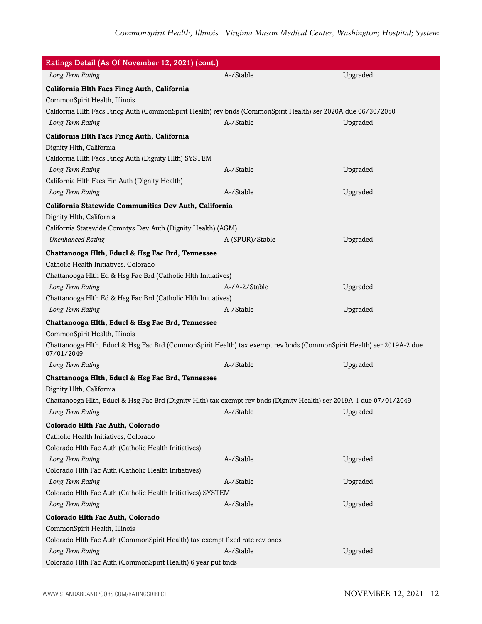| Ratings Detail (As Of November 12, 2021) (cont.)                                                                                    |                 |          |
|-------------------------------------------------------------------------------------------------------------------------------------|-----------------|----------|
| Long Term Rating                                                                                                                    | A-/Stable       | Upgraded |
| California Hlth Facs Fincg Auth, California                                                                                         |                 |          |
| CommonSpirit Health, Illinois                                                                                                       |                 |          |
| California Hlth Facs Fincg Auth (CommonSpirit Health) rev bnds (CommonSpirit Health) ser 2020A due 06/30/2050                       |                 |          |
| Long Term Rating                                                                                                                    | A-/Stable       | Upgraded |
| California Hlth Facs Fincg Auth, California                                                                                         |                 |          |
| Dignity Hlth, California                                                                                                            |                 |          |
| California Hlth Facs Fincg Auth (Dignity Hlth) SYSTEM                                                                               |                 |          |
| Long Term Rating                                                                                                                    | A-/Stable       | Upgraded |
| California Hlth Facs Fin Auth (Dignity Health)                                                                                      |                 |          |
| Long Term Rating                                                                                                                    | A-/Stable       | Upgraded |
| California Statewide Communities Dev Auth, California                                                                               |                 |          |
| Dignity Hlth, California                                                                                                            |                 |          |
| California Statewide Comntys Dev Auth (Dignity Health) (AGM)                                                                        |                 |          |
| <b>Unenhanced Rating</b>                                                                                                            | A-(SPUR)/Stable | Upgraded |
| Chattanooga Hlth, Educl & Hsg Fac Brd, Tennessee                                                                                    |                 |          |
| Catholic Health Initiatives, Colorado                                                                                               |                 |          |
| Chattanooga Hlth Ed & Hsg Fac Brd (Catholic Hlth Initiatives)                                                                       |                 |          |
| Long Term Rating                                                                                                                    | A-/A-2/Stable   | Upgraded |
| Chattanooga Hlth Ed & Hsg Fac Brd (Catholic Hlth Initiatives)                                                                       |                 |          |
| Long Term Rating                                                                                                                    | A-/Stable       | Upgraded |
| Chattanooga Hlth, Educl & Hsg Fac Brd, Tennessee                                                                                    |                 |          |
| CommonSpirit Health, Illinois                                                                                                       |                 |          |
| Chattanooga Hlth, Educl & Hsg Fac Brd (CommonSpirit Health) tax exempt rev bnds (CommonSpirit Health) ser 2019A-2 due<br>07/01/2049 |                 |          |
| Long Term Rating                                                                                                                    | A-/Stable       | Upgraded |
| Chattanooga Hlth, Educl & Hsg Fac Brd, Tennessee                                                                                    |                 |          |
| Dignity Hlth, California                                                                                                            |                 |          |
| Chattanooga Hlth, Educl & Hsg Fac Brd (Dignity Hlth) tax exempt rev bnds (Dignity Health) ser 2019A-1 due 07/01/2049                |                 |          |
| Long Term Rating                                                                                                                    | A-/Stable       | Upgraded |
| Colorado Hlth Fac Auth, Colorado                                                                                                    |                 |          |
| Catholic Health Initiatives, Colorado                                                                                               |                 |          |
| Colorado Hlth Fac Auth (Catholic Health Initiatives)                                                                                |                 |          |
| Long Term Rating                                                                                                                    | A-/Stable       | Upgraded |
| Colorado Hlth Fac Auth (Catholic Health Initiatives)                                                                                |                 |          |
| Long Term Rating                                                                                                                    | A-/Stable       | Upgraded |
| Colorado Hlth Fac Auth (Catholic Health Initiatives) SYSTEM                                                                         |                 |          |
| Long Term Rating                                                                                                                    | A-/Stable       | Upgraded |
| Colorado Hlth Fac Auth, Colorado                                                                                                    |                 |          |
| CommonSpirit Health, Illinois                                                                                                       |                 |          |
| Colorado Hlth Fac Auth (CommonSpirit Health) tax exempt fixed rate rev bnds                                                         |                 |          |
| Long Term Rating                                                                                                                    | A-/Stable       | Upgraded |
| Colorado Hlth Fac Auth (CommonSpirit Health) 6 year put bnds                                                                        |                 |          |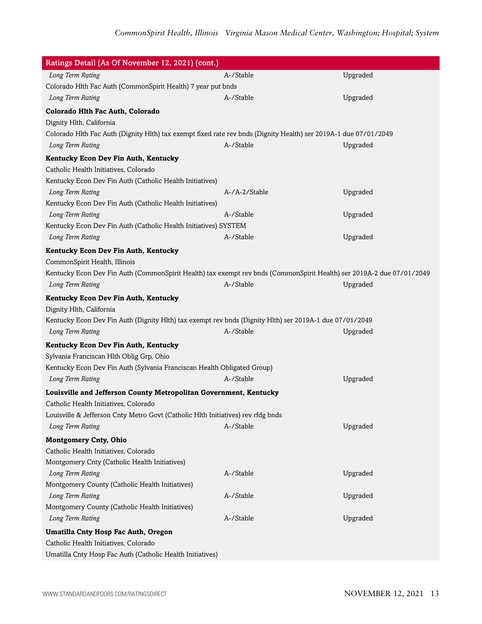| Ratings Detail (As Of November 12, 2021) (cont.)                                                                      |               |          |
|-----------------------------------------------------------------------------------------------------------------------|---------------|----------|
| Long Term Rating                                                                                                      | A-/Stable     | Upgraded |
| Colorado Hlth Fac Auth (CommonSpirit Health) 7 year put bnds                                                          |               |          |
| Long Term Rating                                                                                                      | A-/Stable     | Upgraded |
| Colorado Hlth Fac Auth, Colorado                                                                                      |               |          |
| Dignity Hlth, California                                                                                              |               |          |
| Colorado Hlth Fac Auth (Dignity Hlth) tax exempt fixed rate rev bnds (Dignity Health) ser 2019A-1 due 07/01/2049      |               |          |
| Long Term Rating                                                                                                      | A-/Stable     | Upgraded |
| Kentucky Econ Dev Fin Auth, Kentucky                                                                                  |               |          |
| Catholic Health Initiatives, Colorado                                                                                 |               |          |
| Kentucky Econ Dev Fin Auth (Catholic Health Initiatives)                                                              |               |          |
| Long Term Rating                                                                                                      | A-/A-2/Stable | Upgraded |
| Kentucky Econ Dev Fin Auth (Catholic Health Initiatives)                                                              |               |          |
| Long Term Rating                                                                                                      | A-/Stable     | Upgraded |
| Kentucky Econ Dev Fin Auth (Catholic Health Initiatives) SYSTEM                                                       |               |          |
| Long Term Rating                                                                                                      | A-/Stable     | Upgraded |
| Kentucky Econ Dev Fin Auth, Kentucky                                                                                  |               |          |
| CommonSpirit Health, Illinois                                                                                         |               |          |
| Kentucky Econ Dev Fin Auth (CommonSpirit Health) tax exempt rev bnds (CommonSpirit Health) ser 2019A-2 due 07/01/2049 |               |          |
| Long Term Rating                                                                                                      | A-/Stable     | Upgraded |
| Kentucky Econ Dev Fin Auth, Kentucky                                                                                  |               |          |
| Dignity Hlth, California                                                                                              |               |          |
| Kentucky Econ Dev Fin Auth (Dignity Hlth) tax exempt rev bnds (Dignity Hlth) ser 2019A-1 due 07/01/2049               |               |          |
| Long Term Rating                                                                                                      | A-/Stable     | Upgraded |
| Kentucky Econ Dev Fin Auth, Kentucky                                                                                  |               |          |
| Sylvania Franciscan Hlth Oblig Grp, Ohio                                                                              |               |          |
| Kentucky Econ Dev Fin Auth (Sylvania Franciscan Health Obligated Group)                                               |               |          |
| Long Term Rating                                                                                                      | A-/Stable     | Upgraded |
| Louisville and Jefferson County Metropolitan Government, Kentucky                                                     |               |          |
| Catholic Health Initiatives, Colorado                                                                                 |               |          |
| Louisville & Jefferson Cnty Metro Govt (Catholic Hlth Initiatives) rev rfdg bnds                                      |               |          |
| Long Term Rating                                                                                                      | A-/Stable     | Upgraded |
| <b>Montgomery Cnty, Ohio</b>                                                                                          |               |          |
| Catholic Health Initiatives, Colorado                                                                                 |               |          |
| Montgomery Cnty (Catholic Health Initiatives)                                                                         |               |          |
| Long Term Rating                                                                                                      | A-/Stable     | Upgraded |
| Montgomery County (Catholic Health Initiatives)                                                                       |               |          |
| Long Term Rating                                                                                                      | A-/Stable     | Upgraded |
| Montgomery County (Catholic Health Initiatives)                                                                       |               |          |
| Long Term Rating                                                                                                      | A-/Stable     | Upgraded |
| Umatilla Cnty Hosp Fac Auth, Oregon                                                                                   |               |          |
| Catholic Health Initiatives, Colorado                                                                                 |               |          |
| Umatilla Cnty Hosp Fac Auth (Catholic Health Initiatives)                                                             |               |          |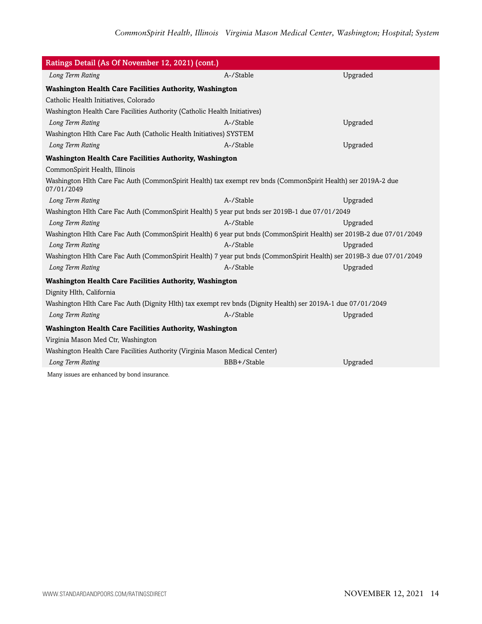| Ratings Detail (As Of November 12, 2021) (cont.)                                                                            |             |          |  |
|-----------------------------------------------------------------------------------------------------------------------------|-------------|----------|--|
| Long Term Rating                                                                                                            | A-/Stable   | Upgraded |  |
| <b>Washington Health Care Facilities Authority, Washington</b>                                                              |             |          |  |
| Catholic Health Initiatives, Colorado                                                                                       |             |          |  |
| Washington Health Care Facilities Authority (Catholic Health Initiatives)                                                   |             |          |  |
| Long Term Rating                                                                                                            | A-/Stable   | Upgraded |  |
| Washington Hlth Care Fac Auth (Catholic Health Initiatives) SYSTEM                                                          |             |          |  |
| Long Term Rating                                                                                                            | A-/Stable   | Upgraded |  |
| Washington Health Care Facilities Authority, Washington                                                                     |             |          |  |
| CommonSpirit Health, Illinois                                                                                               |             |          |  |
| Washington Hlth Care Fac Auth (CommonSpirit Health) tax exempt rev bnds (CommonSpirit Health) ser 2019A-2 due<br>07/01/2049 |             |          |  |
| Long Term Rating                                                                                                            | A-/Stable   | Upgraded |  |
| Washington Hlth Care Fac Auth (CommonSpirit Health) 5 year put bnds ser 2019B-1 due 07/01/2049                              |             |          |  |
| Long Term Rating                                                                                                            | A-/Stable   | Upgraded |  |
| Washington Hlth Care Fac Auth (CommonSpirit Health) 6 year put bnds (CommonSpirit Health) ser 2019B-2 due 07/01/2049        |             |          |  |
| Long Term Rating                                                                                                            | A-/Stable   | Upgraded |  |
| Washington Hlth Care Fac Auth (CommonSpirit Health) 7 year put bnds (CommonSpirit Health) ser 2019B-3 due 07/01/2049        |             |          |  |
| Long Term Rating                                                                                                            | A-/Stable   | Upgraded |  |
| <b>Washington Health Care Facilities Authority, Washington</b>                                                              |             |          |  |
| Dignity Hlth, California                                                                                                    |             |          |  |
| Washington Hlth Care Fac Auth (Dignity Hlth) tax exempt rev bnds (Dignity Health) ser 2019A-1 due 07/01/2049                |             |          |  |
| Long Term Rating                                                                                                            | A-/Stable   | Upgraded |  |
| Washington Health Care Facilities Authority, Washington                                                                     |             |          |  |
| Virginia Mason Med Ctr, Washington                                                                                          |             |          |  |
| Washington Health Care Facilities Authority (Virginia Mason Medical Center)                                                 |             |          |  |
| Long Term Rating                                                                                                            | BBB+/Stable | Upgraded |  |
| Many issues are enhanced by bond insurance.                                                                                 |             |          |  |